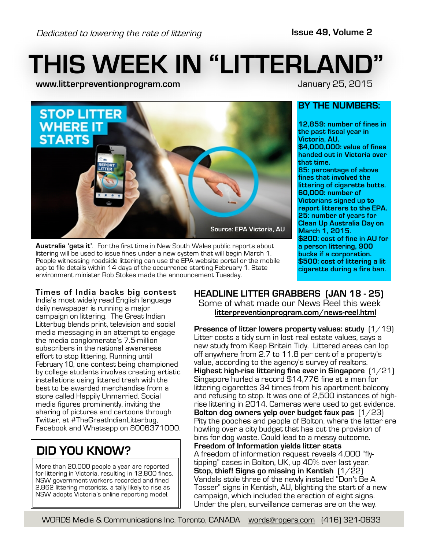# **THIS WEEK IN "LITTERLAND"**

**www.litterpreventionprogram.com** January 25, 2015

**BY THE NUMBERS:**

**Victoria, AU.**

**that time.**

**12,859: number of fines in the past fiscal year in**

**\$4,000,000: value of fines handed out in Victoria over**

**85: percentage of above fines that involved the littering of cigarette butts.**

**\$200: cost of fine in AU for a person littering, 900 bucks if a corporation. \$500: cost of littering a lit cigarette during a fire ban.**

**60,000: number of Victorians signed up to report litterers to the EPA. 25: number of years for Clean Up Australia Day on**

**March 1, 2015.**



**Australia 'gets it'**. For the first time in New South Wales public reports about littering will be used to issue fines under a new system that will begin March 1. People witnessing roadside littering can use the EPA website portal or the mobile app to file details within 14 days of the occurrence starting February 1. State environment minister Rob Stokes made the announcement Tuesday.

#### **Times of India backs big contest**

India's most widely read English language daily newspaper is running a major campaign on littering. The Great Indian Litterbug blends print, television and social media messaging in an attempt to engage the media conglomerate's 7.5-million subscribers in the national awareness effort to stop littering. Running until February 10, one contest being championed by college students involves creating artistic installations using littered trash with the best to be awarded merchandise from a store called Happily Unmarried. Social media figures prominently, inviting the sharing of pictures and cartoons through Twitter, at #TheGreatIndianLitterbug, Facebook and Whatsapp on 8006371000.

## **DID YOU KNOW?**

More than 20,000 people a year are reported for littering in Victoria, resulting in 12,800 fines. NSW government workers recorded and fined 2,862 littering motorists, a tally likely to rise as NSW adopts Victoria's online reporting model.

## **HEADLINE LITTER GRABBERS (JAN 18 - 25)**

Some of what made our News Reel this week **litterpreventionprogram.com/news-reel.html**

**Presence of litter lowers property values: study** (1/19) Litter costs a tidy sum in lost real estate values, says a new study from Keep Britain Tidy. Littered areas can lop off anywhere from 2.7 to 11.8 per cent of a property's value, according to the agency's survey of realtors. **Highest high-rise littering fine ever in Singapore** (1/21) Singapore hurled a record \$14,776 fine at a man for littering cigarettes 34 times from his apartment balcony and refusing to stop. It was one of 2,500 instances of highrise littering in 2014. Cameras were used to get evidence. **Bolton dog owners yelp over budget faux pas** (1/23) Pity the pooches and people of Bolton, where the latter are howling over a city budget that has cut the provision of bins for dog waste. Could lead to a messy outcome. **Freedom of Information yields litter stats** A freedom of information request reveals 4,000 "flytipping" cases in Bolton, UK, up 40% over last year. **Stop, thief! Signs go missing in Kentish** (1/22) Vandals stole three of the newly installed "Don't Be A Tosser" signs in Kentish, AU, blighting the start of a new campaign, which included the erection of eight signs. Under the plan, surveillance cameras are on the way.